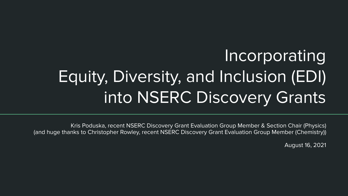# Incorporating Equity, Diversity, and Inclusion (EDI) into NSERC Discovery Grants

Kris Poduska, recent NSERC Discovery Grant Evaluation Group Member & Section Chair (Physics) (and huge thanks to Christopher Rowley, recent NSERC Discovery Grant Evaluation Group Member (Chemistry))

August 16, 2021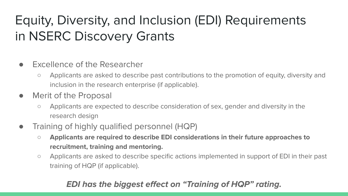## Equity, Diversity, and Inclusion (EDI) Requirements in NSERC Discovery Grants

- Excellence of the Researcher
	- Applicants are asked to describe past contributions to the promotion of equity, diversity and inclusion in the research enterprise (if applicable).
- Merit of the Proposal
	- Applicants are expected to describe consideration of sex, gender and diversity in the research design
- Training of highly qualified personnel (HQP)
	- Applicants are required to describe EDI considerations in their future approaches to recruitment, training and mentoring.
	- Applicants are asked to describe specific actions implemented in support of EDI in their past training of HQP (if applicable).

#### EDI has the biggest effect on "Training of HQP" rating.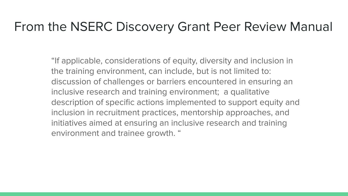### From the NSERC Discovery Grant Peer Review Manual

"If applicable, considerations of equity, diversity and inclusion in the training environment, can include, but is not limited to: discussion of challenges or barriers encountered in ensuring an inclusive research and training environment; a qualitative description of specific actions implemented to support equity and inclusion in recruitment practices, mentorship approaches, and initiatives aimed at ensuring an inclusive research and training environment and trainee growth. "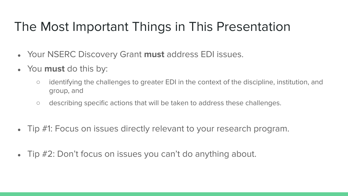### The Most Important Things in This Presentation

- Your NSERC Discovery Grant must address EDI issues.
- You must do this by:
	- identifying the challenges to greater EDI in the context of the discipline, institution, and group, and
	- describing specific actions that will be taken to address these challenges.
- Tip #1: Focus on issues directly relevant to your research program.
- Tip #2: Don't focus on issues you can't do anything about.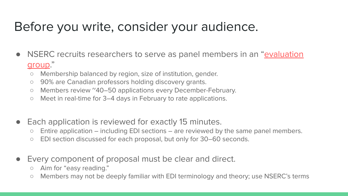### Before you write, consider your audience.

- NSERC recruits researchers to serve as panel members in an "[evaluation](https://www.nserc-crsng.gc.ca/NSERC-CRSNG/committees-comites/programs-programmes_eng.asp)" [group.](https://www.nserc-crsng.gc.ca/NSERC-CRSNG/committees-comites/programs-programmes_eng.asp)"
	- Membership balanced by region, size of institution, gender.
	- 90% are Canadian professors holding discovery grants.
	- Members review ~40–50 applications every December-February.
	- Meet in real-time for 3–4 days in February to rate applications.
- Each application is reviewed for exactly 15 minutes.
	- Entire application including EDI sections are reviewed by the same panel members.
	- EDI section discussed for each proposal, but only for 30–60 seconds.
- Every component of proposal must be clear and direct.
	- Aim for "easy reading."
	- Members may not be deeply familiar with EDI terminology and theory; use NSERC's terms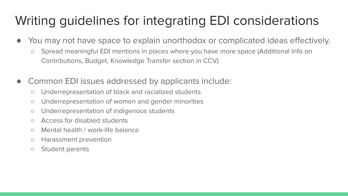### Writing guidelines for integrating EDI considerations

- You may not have space to explain unorthodox or complicated ideas effectively.
	- Spread meaningful EDI mentions in places where you have more space (Additional Info on Contributions, Budget, Knowledge Transfer section in CCV)
- Common EDI issues addressed by applicants include:
	- Underrepresentation of black and racialized students
	- Underrepresentation of women and gender minorities
	- Underrepresentation of indigenous students
	- Access for disabled students
	- Mental health / work-life balance
	- Harassment prevention
	- Student parents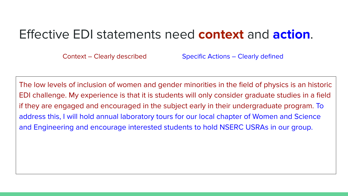### Effective EDI statements need context and action.

Context – Clearly described Specific Actions – Clearly defined

The low levels of inclusion of women and gender minorities in the field of physics is an historic EDI challenge. My experience is that it is students will only consider graduate studies in a field if they are engaged and encouraged in the subject early in their undergraduate program. To address this, I will hold annual laboratory tours for our local chapter of Women and Science and Engineering and encourage interested students to hold NSERC USRAs in our group.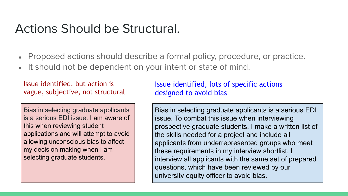### Actions Should be Structural.

- Proposed actions should describe a formal policy, procedure, or practice.
- It should not be dependent on your intent or state of mind.

Issue identified, but action is vague, subjective, not structural

Bias in selecting graduate applicants is a serious EDI issue. I am aware of this when reviewing student applications and will attempt to avoid allowing unconscious bias to affect my decision making when I am selecting graduate students.

Issue identified, lots of specific actions designed to avoid bias

Bias in selecting graduate applicants is a serious EDI issue. To combat this issue when interviewing prospective graduate students, I make a written list of the skills needed for a project and include all applicants from underrepresented groups who meet these requirements in my interview shortlist. I interview all applicants with the same set of prepared questions, which have been reviewed by our university equity officer to avoid bias.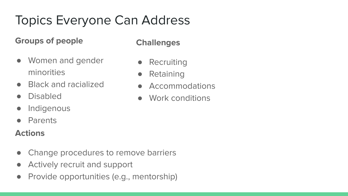### Topics Everyone Can Address

#### Groups of people

### ● Women and gender minorities

- Black and racialized
- Disabled
- Indigenous
- Parents

#### Actions

- Change procedures to remove barriers
- Actively recruit and support
- Provide opportunities (e.g., mentorship)

#### **Challenges**

- Recruiting
- **Retaining**
- Accommodations
- Work conditions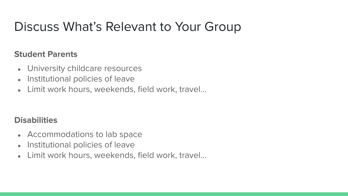### Discuss What's Relevant to Your Group

#### Student Parents

- University childcare resources
- Institutional policies of leave
- Limit work hours, weekends, field work, travel...

#### **Disabilities**

- Accommodations to lab space
- Institutional policies of leave
- Limit work hours, weekends, field work, travel...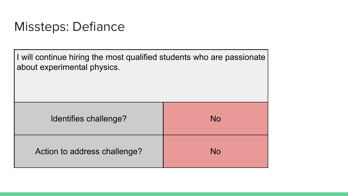### Missteps: Defiance

I will continue hiring the most qualified students who are passionate about experimental physics.

| Identifies challenge?        | <b>No</b> |
|------------------------------|-----------|
| Action to address challenge? | No        |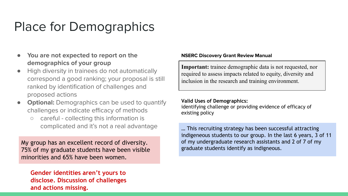### Place for Demographics

- You are not expected to report on the demographics of your group
- High diversity in trainees do not automatically correspond a good ranking; your proposal is still ranked by identification of challenges and proposed actions
- **Optional:** Demographics can be used to quantify challenges or indicate efficacy of methods
	- careful collecting this information is complicated and it's not a real advantage

My group has an excellent record of diversity. 75% of my graduate students have been visible minorities and 65% have been women.

Gender identities aren't yours to disclose. Discussion of challenges and actions missing.

#### NSERC Discovery Grant Review Manual

Important: trainee demographic data is not requested, nor required to assess impacts related to equity, diversity and inclusion in the research and training environment.

#### Valid Uses of Demographics:

identifying challenge or providing evidence of efficacy of existing policy

… This recruiting strategy has been successful attracting indigeneous students to our group. In the last 6 years, 3 of 11 of my undergraduate research assistants and 2 of 7 of my graduate students identify as indigneous.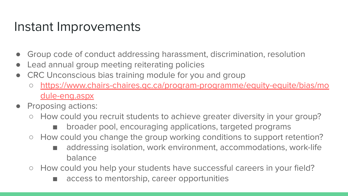### Instant Improvements

- Group code of conduct addressing harassment, discrimination, resolution
- Lead annual group meeting reiterating policies
- CRC Unconscious bias training module for you and group
	- [https://www.chairs-chaires.gc.ca/program-programme/equity-equite/bias/mo](https://www.chairs-chaires.gc.ca/program-programme/equity-equite/bias/module-eng.aspx) [dule-eng.aspx](https://www.chairs-chaires.gc.ca/program-programme/equity-equite/bias/module-eng.aspx)
- Proposing actions:
	- How could you recruit students to achieve greater diversity in your group?
		- broader pool, encouraging applications, targeted programs
	- How could you change the group working conditions to support retention?
		- addressing isolation, work environment, accommodations, work-life balance
	- How could you help your students have successful careers in your field?
		- access to mentorship, career opportunities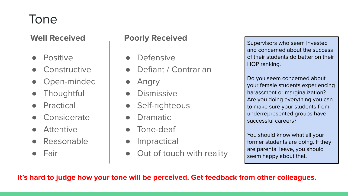### Tone

#### Well Received

- Positive
- Constructive
- Open-minded
- Thoughtful
- Practical
- Considerate
- Attentive
- Reasonable
- Fair

#### Poorly Received

- Defensive
- Defiant / Contrarian
- Angry
- Dismissive
- Self-righteous
- **Dramatic**
- Tone-deaf
- Impractical
- Out of touch with reality

Supervisors who seem invested and concerned about the success of their students do better on their HQP ranking.

Do you seem concerned about your female students experiencing harassment or marginalization? Are you doing everything you can to make sure your students from underrepresented groups have successful careers?

You should know what all your former students are doing. If they are parental leave, you should seem happy about that.

It's hard to judge how your tone will be perceived. Get feedback from other colleagues.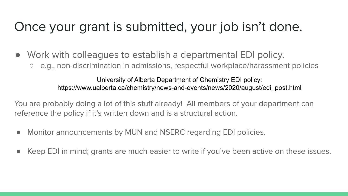### Once your grant is submitted, your job isn't done.

- Work with colleagues to establish a departmental EDI policy.
	- e.g., non-discrimination in admissions, respectful workplace/harassment policies

University of Alberta Department of Chemistry EDI policy: https://www.ualberta.ca/chemistry/news-and-events/news/2020/august/edi\_post.html

You are probably doing a lot of this stuff already! All members of your department can reference the policy if it's written down and is a structural action.

- Monitor announcements by MUN and NSERC regarding EDI policies.
- Keep EDI in mind; grants are much easier to write if you've been active on these issues.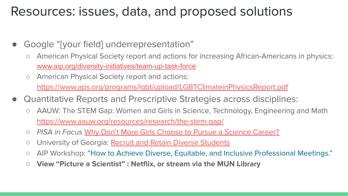### Resources: issues, data, and proposed solutions

- Google "[your field] underrepresentation"
	- American Physical Society report and actions for increasing African-Americans in physics: [www.aip.org/diversity-initiatives/team-up-task-force](http://www.aip.org/diversity-initiatives/team-up-task-force)
	- American Physical Society report and actions: <https://www.aps.org/programs/lgbt/upload/LGBTClimateinPhysicsReport.pdf>
- Quantitative Reports and Prescriptive Strategies across disciplines:
	- AAUW: The STEM Gap: Women and Girls in Science, Technology, Engineering and Math <https://www.aauw.org/resources/research/the-stem-gap/>
	- PISA in Focus [Why Don't More Girls Choose to Pursue a Science Career?](https://www.oecd-ilibrary.org/education/why-don-t-more-girls-choose-to-pursue-a-science-career_02bd2b68-en)
	- o University of Georgia: [Recruit and Retain Diverse Students](https://www.fcs.uga.edu/faculty_staff_resources/diversity-plan-recruit-and-retain-diverse-students)
	- AIP Workshop: ["How to Achieve Diverse, Equitable, and Inclusive Professional Meetings."](https://www.aip.org/diversity-initiatives/debrief-aip-workshop-how-achieve-diverse-equitable-and-inclusive-professional-meetings)
	- View "Picture a Scientist" : Netflix, or stream via the MUN Library